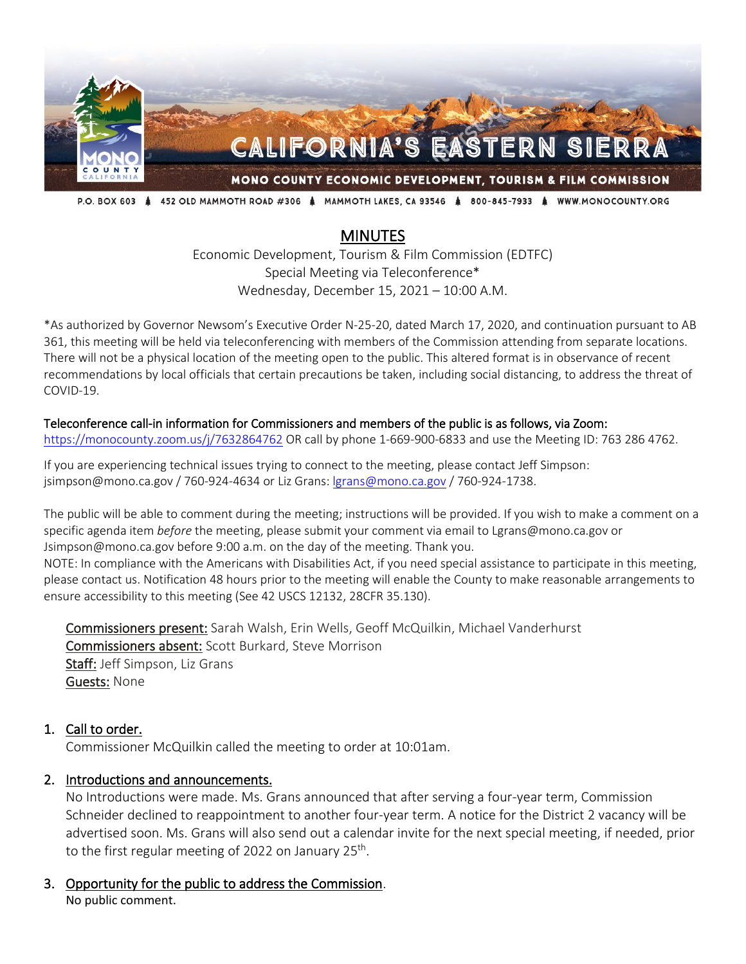

P.O. BOX 603 & 452 OLD MAMMOTH ROAD #306 & MAMMOTH LAKES, CA 93546 & 800-845-7933 & WWW.MONOCOUNTY.ORG

# **MINUTES**

Economic Development, Tourism & Film Commission (EDTFC) Special Meeting via Teleconference\* Wednesday, December 15, 2021 – 10:00 A.M.

\*As authorized by Governor Newsom's Executive Order N-25-20, dated March 17, 2020, and continuation pursuant to AB 361, this meeting will be held via teleconferencing with members of the Commission attending from separate locations. There will not be a physical location of the meeting open to the public. This altered format is in observance of recent recommendations by local officials that certain precautions be taken, including social distancing, to address the threat of COVID-19.

#### Teleconference call-in information for Commissioners and members of the public is as follows, via Zoom:

<https://monocounty.zoom.us/j/7632864762> OR call by phone 1-669-900-6833 and use the Meeting ID: 763 286 4762.

If you are experiencing technical issues trying to connect to the meeting, please contact Jeff Simpson: jsimpson@mono.ca.gov / 760-924-4634 or Liz Grans: [lgrans@mono.ca.gov](mailto:lgrans@mono.ca.gov) / 760-924-1738.

The public will be able to comment during the meeting; instructions will be provided. If you wish to make a comment on a specific agenda item *before* the meeting, please submit your comment via email to Lgrans@mono.ca.gov or Jsimpson@mono.ca.gov before 9:00 a.m. on the day of the meeting. Thank you. NOTE: In compliance with the Americans with Disabilities Act, if you need special assistance to participate in this meeting, please contact us. Notification 48 hours prior to the meeting will enable the County to make reasonable arrangements to ensure accessibility to this meeting (See 42 USCS 12132, 28CFR 35.130).

Commissioners present: Sarah Walsh, Erin Wells, Geoff McQuilkin, Michael Vanderhurst Commissioners absent: Scott Burkard, Steve Morrison Staff: Jeff Simpson, Liz Grans **Guests: None** 

#### 1. Call to order.

Commissioner McQuilkin called the meeting to order at 10:01am.

#### 2. Introductions and announcements.

No Introductions were made. Ms. Grans announced that after serving a four-year term, Commission Schneider declined to reappointment to another four-year term. A notice for the District 2 vacancy will be advertised soon. Ms. Grans will also send out a calendar invite for the next special meeting, if needed, prior to the first regular meeting of 2022 on January  $25<sup>th</sup>$ .

3. Opportunity for the public to address the Commission. No public comment.